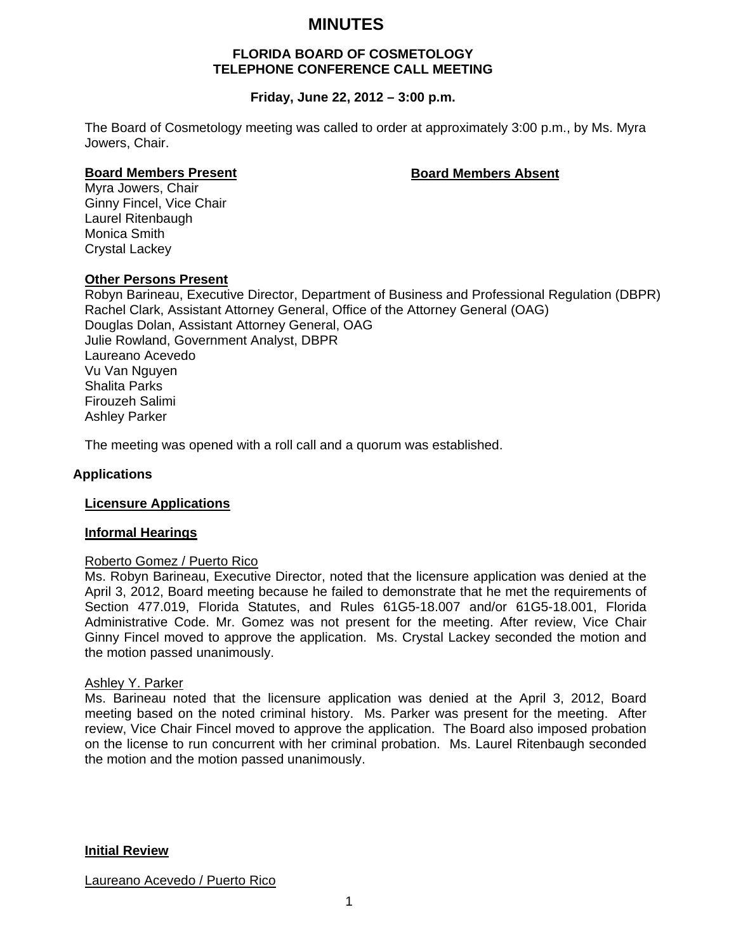# **MINUTES**

# **FLORIDA BOARD OF COSMETOLOGY TELEPHONE CONFERENCE CALL MEETING**

# **Friday, June 22, 2012 – 3:00 p.m.**

The Board of Cosmetology meeting was called to order at approximately 3:00 p.m., by Ms. Myra Jowers, Chair.

## **Board Members Present Constraining Board Members Absent**

Myra Jowers, Chair Ginny Fincel, Vice Chair Laurel Ritenbaugh Monica Smith Crystal Lackey

### **Other Persons Present**

Robyn Barineau, Executive Director, Department of Business and Professional Regulation (DBPR) Rachel Clark, Assistant Attorney General, Office of the Attorney General (OAG) Douglas Dolan, Assistant Attorney General, OAG Julie Rowland, Government Analyst, DBPR Laureano Acevedo Vu Van Nguyen Shalita Parks Firouzeh Salimi Ashley Parker

The meeting was opened with a roll call and a quorum was established.

# **Applications**

# **Licensure Applications**

# **Informal Hearings**

# Roberto Gomez / Puerto Rico

Ms. Robyn Barineau, Executive Director, noted that the licensure application was denied at the April 3, 2012, Board meeting because he failed to demonstrate that he met the requirements of Section 477.019, Florida Statutes, and Rules 61G5-18.007 and/or 61G5-18.001, Florida Administrative Code. Mr. Gomez was not present for the meeting. After review, Vice Chair Ginny Fincel moved to approve the application. Ms. Crystal Lackey seconded the motion and the motion passed unanimously.

#### Ashley Y. Parker

Ms. Barineau noted that the licensure application was denied at the April 3, 2012, Board meeting based on the noted criminal history. Ms. Parker was present for the meeting. After review, Vice Chair Fincel moved to approve the application. The Board also imposed probation on the license to run concurrent with her criminal probation. Ms. Laurel Ritenbaugh seconded the motion and the motion passed unanimously.

**Initial Review**

Laureano Acevedo / Puerto Rico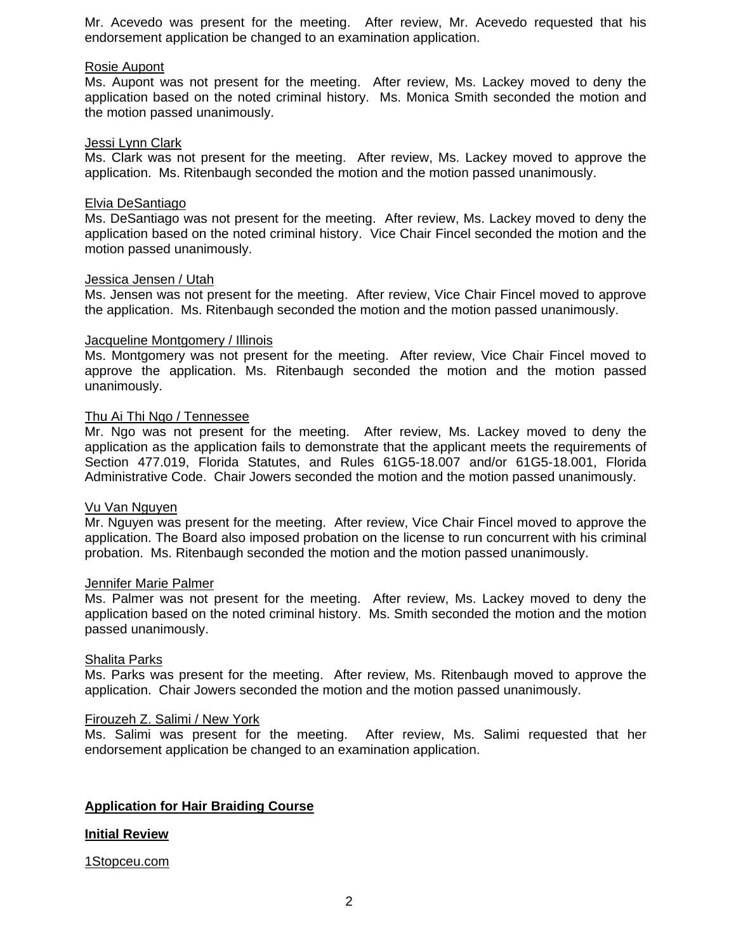Mr. Acevedo was present for the meeting. After review, Mr. Acevedo requested that his endorsement application be changed to an examination application.

### Rosie Aupont

Ms. Aupont was not present for the meeting. After review, Ms. Lackey moved to deny the application based on the noted criminal history. Ms. Monica Smith seconded the motion and the motion passed unanimously.

#### Jessi Lynn Clark

Ms. Clark was not present for the meeting. After review, Ms. Lackey moved to approve the application. Ms. Ritenbaugh seconded the motion and the motion passed unanimously.

### Elvia DeSantiago

Ms. DeSantiago was not present for the meeting. After review, Ms. Lackey moved to deny the application based on the noted criminal history. Vice Chair Fincel seconded the motion and the motion passed unanimously.

#### Jessica Jensen / Utah

Ms. Jensen was not present for the meeting. After review, Vice Chair Fincel moved to approve the application. Ms. Ritenbaugh seconded the motion and the motion passed unanimously.

### Jacqueline Montgomery / Illinois

Ms. Montgomery was not present for the meeting. After review, Vice Chair Fincel moved to approve the application. Ms. Ritenbaugh seconded the motion and the motion passed unanimously.

# Thu Ai Thi Ngo / Tennessee

Mr. Ngo was not present for the meeting. After review, Ms. Lackey moved to deny the application as the application fails to demonstrate that the applicant meets the requirements of Section 477.019, Florida Statutes, and Rules 61G5-18.007 and/or 61G5-18.001, Florida Administrative Code. Chair Jowers seconded the motion and the motion passed unanimously.

#### Vu Van Nguyen

Mr. Nguyen was present for the meeting. After review, Vice Chair Fincel moved to approve the application. The Board also imposed probation on the license to run concurrent with his criminal probation. Ms. Ritenbaugh seconded the motion and the motion passed unanimously.

#### Jennifer Marie Palmer

Ms. Palmer was not present for the meeting. After review, Ms. Lackey moved to deny the application based on the noted criminal history. Ms. Smith seconded the motion and the motion passed unanimously.

# Shalita Parks

Ms. Parks was present for the meeting. After review, Ms. Ritenbaugh moved to approve the application. Chair Jowers seconded the motion and the motion passed unanimously.

### Firouzeh Z. Salimi / New York

Ms. Salimi was present for the meeting. After review, Ms. Salimi requested that her endorsement application be changed to an examination application.

# **Application for Hair Braiding Course**

# **Initial Review**

#### 1Stopceu.com